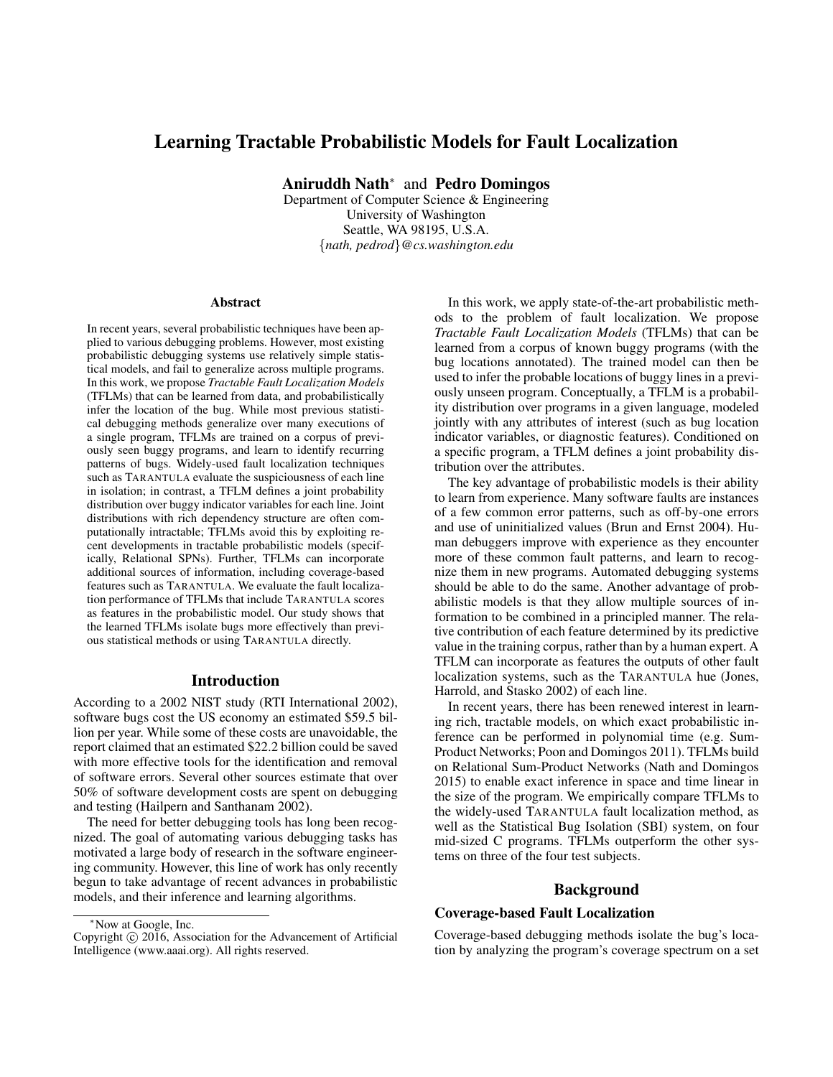# Learning Tractable Probabilistic Models for Fault Localization

Aniruddh Nath<sup>∗</sup> and Pedro Domingos

Department of Computer Science & Engineering University of Washington Seattle, WA 98195, U.S.A. {*nath, pedrod*}*@cs.washington.edu*

### Abstract

In recent years, several probabilistic techniques have been applied to various debugging problems. However, most existing probabilistic debugging systems use relatively simple statistical models, and fail to generalize across multiple programs. In this work, we propose *Tractable Fault Localization Models* (TFLMs) that can be learned from data, and probabilistically infer the location of the bug. While most previous statistical debugging methods generalize over many executions of a single program, TFLMs are trained on a corpus of previously seen buggy programs, and learn to identify recurring patterns of bugs. Widely-used fault localization techniques such as TARANTULA evaluate the suspiciousness of each line in isolation; in contrast, a TFLM defines a joint probability distribution over buggy indicator variables for each line. Joint distributions with rich dependency structure are often computationally intractable; TFLMs avoid this by exploiting recent developments in tractable probabilistic models (specifically, Relational SPNs). Further, TFLMs can incorporate additional sources of information, including coverage-based features such as TARANTULA. We evaluate the fault localization performance of TFLMs that include TARANTULA scores as features in the probabilistic model. Our study shows that the learned TFLMs isolate bugs more effectively than previous statistical methods or using TARANTULA directly.

## Introduction

According to a 2002 NIST study (RTI International 2002), software bugs cost the US economy an estimated \$59.5 billion per year. While some of these costs are unavoidable, the report claimed that an estimated \$22.2 billion could be saved with more effective tools for the identification and removal of software errors. Several other sources estimate that over 50% of software development costs are spent on debugging and testing (Hailpern and Santhanam 2002).

The need for better debugging tools has long been recognized. The goal of automating various debugging tasks has motivated a large body of research in the software engineering community. However, this line of work has only recently begun to take advantage of recent advances in probabilistic models, and their inference and learning algorithms.

In this work, we apply state-of-the-art probabilistic methods to the problem of fault localization. We propose *Tractable Fault Localization Models* (TFLMs) that can be learned from a corpus of known buggy programs (with the bug locations annotated). The trained model can then be used to infer the probable locations of buggy lines in a previously unseen program. Conceptually, a TFLM is a probability distribution over programs in a given language, modeled jointly with any attributes of interest (such as bug location indicator variables, or diagnostic features). Conditioned on a specific program, a TFLM defines a joint probability distribution over the attributes.

The key advantage of probabilistic models is their ability to learn from experience. Many software faults are instances of a few common error patterns, such as off-by-one errors and use of uninitialized values (Brun and Ernst 2004). Human debuggers improve with experience as they encounter more of these common fault patterns, and learn to recognize them in new programs. Automated debugging systems should be able to do the same. Another advantage of probabilistic models is that they allow multiple sources of information to be combined in a principled manner. The relative contribution of each feature determined by its predictive value in the training corpus, rather than by a human expert. A TFLM can incorporate as features the outputs of other fault localization systems, such as the TARANTULA hue (Jones, Harrold, and Stasko 2002) of each line.

In recent years, there has been renewed interest in learning rich, tractable models, on which exact probabilistic inference can be performed in polynomial time (e.g. Sum-Product Networks; Poon and Domingos 2011). TFLMs build on Relational Sum-Product Networks (Nath and Domingos 2015) to enable exact inference in space and time linear in the size of the program. We empirically compare TFLMs to the widely-used TARANTULA fault localization method, as well as the Statistical Bug Isolation (SBI) system, on four mid-sized C programs. TFLMs outperform the other systems on three of the four test subjects.

# Background

# Coverage-based Fault Localization

Coverage-based debugging methods isolate the bug's location by analyzing the program's coverage spectrum on a set

<sup>∗</sup>Now at Google, Inc.

Copyright © 2016, Association for the Advancement of Artificial Intelligence (www.aaai.org). All rights reserved.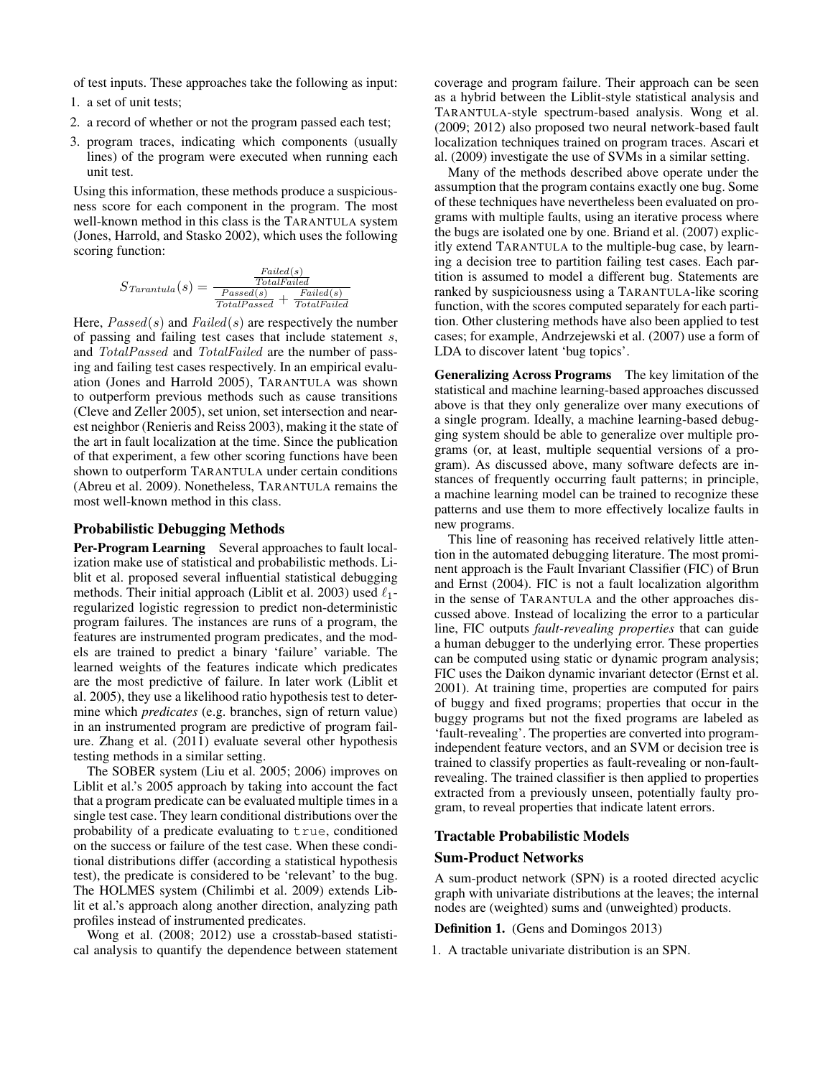of test inputs. These approaches take the following as input:

- 1. a set of unit tests;
- 2. a record of whether or not the program passed each test;
- 3. program traces, indicating which components (usually lines) of the program were executed when running each unit test.

Using this information, these methods produce a suspiciousness score for each component in the program. The most well-known method in this class is the TARANTULA system (Jones, Harrold, and Stasko 2002), which uses the following scoring function:

$$
S_{\text{Tarantula}}(s) = \frac{\frac{Failed(s)}{\text{TotalFailed}}}{\frac{\text{Pased}(s)}{\text{TotalPased}} + \frac{\text{Failed}(s)}{\text{TotalFailed}}}
$$

Here,  $Pascal(s)$  and  $Failed(s)$  are respectively the number of passing and failing test cases that include statement s, and TotalPassed and TotalFailed are the number of passing and failing test cases respectively. In an empirical evaluation (Jones and Harrold 2005), TARANTULA was shown to outperform previous methods such as cause transitions (Cleve and Zeller 2005), set union, set intersection and nearest neighbor (Renieris and Reiss 2003), making it the state of the art in fault localization at the time. Since the publication of that experiment, a few other scoring functions have been shown to outperform TARANTULA under certain conditions (Abreu et al. 2009). Nonetheless, TARANTULA remains the most well-known method in this class.

### Probabilistic Debugging Methods

Per-Program Learning Several approaches to fault localization make use of statistical and probabilistic methods. Liblit et al. proposed several influential statistical debugging methods. Their initial approach (Liblit et al. 2003) used  $\ell_1$ regularized logistic regression to predict non-deterministic program failures. The instances are runs of a program, the features are instrumented program predicates, and the models are trained to predict a binary 'failure' variable. The learned weights of the features indicate which predicates are the most predictive of failure. In later work (Liblit et al. 2005), they use a likelihood ratio hypothesis test to determine which *predicates* (e.g. branches, sign of return value) in an instrumented program are predictive of program failure. Zhang et al. (2011) evaluate several other hypothesis testing methods in a similar setting.

The SOBER system (Liu et al. 2005; 2006) improves on Liblit et al.'s 2005 approach by taking into account the fact that a program predicate can be evaluated multiple times in a single test case. They learn conditional distributions over the probability of a predicate evaluating to true, conditioned on the success or failure of the test case. When these conditional distributions differ (according a statistical hypothesis test), the predicate is considered to be 'relevant' to the bug. The HOLMES system (Chilimbi et al. 2009) extends Liblit et al.'s approach along another direction, analyzing path profiles instead of instrumented predicates.

Wong et al. (2008; 2012) use a crosstab-based statistical analysis to quantify the dependence between statement coverage and program failure. Their approach can be seen as a hybrid between the Liblit-style statistical analysis and TARANTULA-style spectrum-based analysis. Wong et al. (2009; 2012) also proposed two neural network-based fault localization techniques trained on program traces. Ascari et al. (2009) investigate the use of SVMs in a similar setting.

Many of the methods described above operate under the assumption that the program contains exactly one bug. Some of these techniques have nevertheless been evaluated on programs with multiple faults, using an iterative process where the bugs are isolated one by one. Briand et al. (2007) explicitly extend TARANTULA to the multiple-bug case, by learning a decision tree to partition failing test cases. Each partition is assumed to model a different bug. Statements are ranked by suspiciousness using a TARANTULA-like scoring function, with the scores computed separately for each partition. Other clustering methods have also been applied to test cases; for example, Andrzejewski et al. (2007) use a form of LDA to discover latent 'bug topics'.

Generalizing Across Programs The key limitation of the statistical and machine learning-based approaches discussed above is that they only generalize over many executions of a single program. Ideally, a machine learning-based debugging system should be able to generalize over multiple programs (or, at least, multiple sequential versions of a program). As discussed above, many software defects are instances of frequently occurring fault patterns; in principle, a machine learning model can be trained to recognize these patterns and use them to more effectively localize faults in new programs.

This line of reasoning has received relatively little attention in the automated debugging literature. The most prominent approach is the Fault Invariant Classifier (FIC) of Brun and Ernst (2004). FIC is not a fault localization algorithm in the sense of TARANTULA and the other approaches discussed above. Instead of localizing the error to a particular line, FIC outputs *fault-revealing properties* that can guide a human debugger to the underlying error. These properties can be computed using static or dynamic program analysis; FIC uses the Daikon dynamic invariant detector (Ernst et al. 2001). At training time, properties are computed for pairs of buggy and fixed programs; properties that occur in the buggy programs but not the fixed programs are labeled as 'fault-revealing'. The properties are converted into programindependent feature vectors, and an SVM or decision tree is trained to classify properties as fault-revealing or non-faultrevealing. The trained classifier is then applied to properties extracted from a previously unseen, potentially faulty program, to reveal properties that indicate latent errors.

### Tractable Probabilistic Models

### Sum-Product Networks

A sum-product network (SPN) is a rooted directed acyclic graph with univariate distributions at the leaves; the internal nodes are (weighted) sums and (unweighted) products.

Definition 1. (Gens and Domingos 2013)

1. A tractable univariate distribution is an SPN.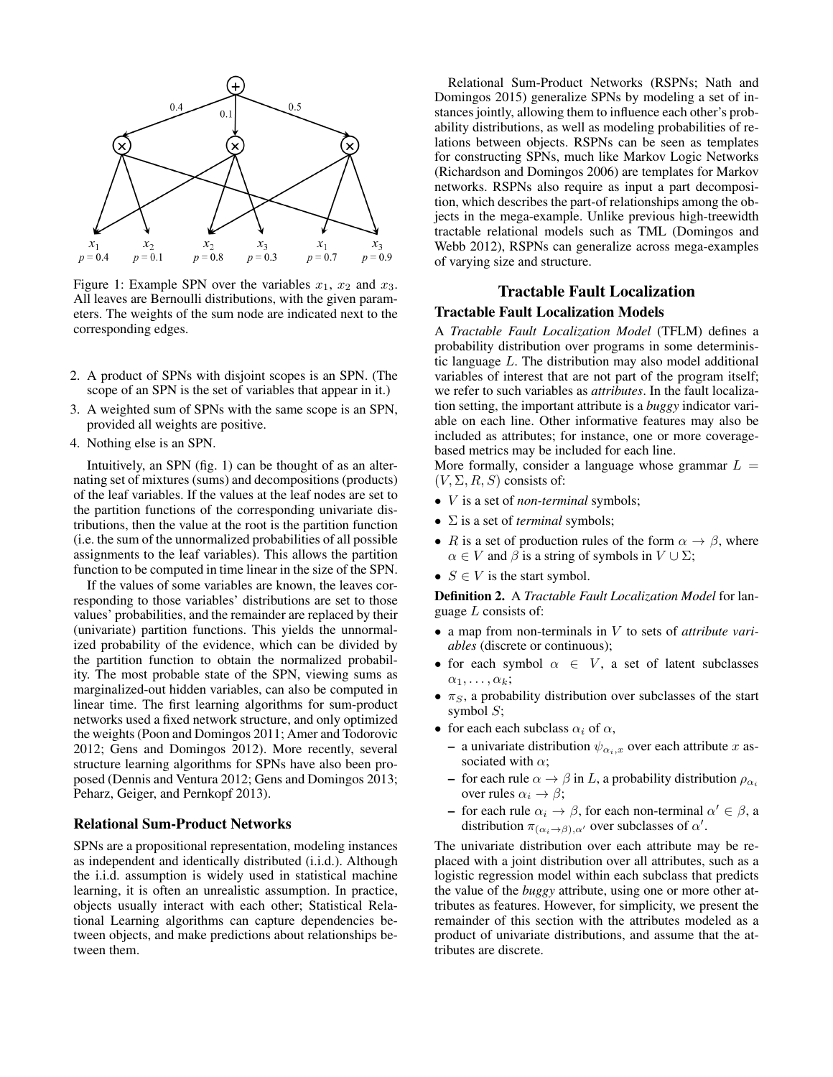

Figure 1: Example SPN over the variables  $x_1$ ,  $x_2$  and  $x_3$ . All leaves are Bernoulli distributions, with the given parameters. The weights of the sum node are indicated next to the corresponding edges.

- 2. A product of SPNs with disjoint scopes is an SPN. (The scope of an SPN is the set of variables that appear in it.)
- 3. A weighted sum of SPNs with the same scope is an SPN, provided all weights are positive.
- 4. Nothing else is an SPN.

Intuitively, an SPN (fig. 1) can be thought of as an alternating set of mixtures (sums) and decompositions (products) of the leaf variables. If the values at the leaf nodes are set to the partition functions of the corresponding univariate distributions, then the value at the root is the partition function (i.e. the sum of the unnormalized probabilities of all possible assignments to the leaf variables). This allows the partition function to be computed in time linear in the size of the SPN.

If the values of some variables are known, the leaves corresponding to those variables' distributions are set to those values' probabilities, and the remainder are replaced by their (univariate) partition functions. This yields the unnormalized probability of the evidence, which can be divided by the partition function to obtain the normalized probability. The most probable state of the SPN, viewing sums as marginalized-out hidden variables, can also be computed in linear time. The first learning algorithms for sum-product networks used a fixed network structure, and only optimized the weights (Poon and Domingos 2011; Amer and Todorovic 2012; Gens and Domingos 2012). More recently, several structure learning algorithms for SPNs have also been proposed (Dennis and Ventura 2012; Gens and Domingos 2013; Peharz, Geiger, and Pernkopf 2013).

### Relational Sum-Product Networks

SPNs are a propositional representation, modeling instances as independent and identically distributed (i.i.d.). Although the i.i.d. assumption is widely used in statistical machine learning, it is often an unrealistic assumption. In practice, objects usually interact with each other; Statistical Relational Learning algorithms can capture dependencies between objects, and make predictions about relationships between them.

Relational Sum-Product Networks (RSPNs; Nath and Domingos 2015) generalize SPNs by modeling a set of instances jointly, allowing them to influence each other's probability distributions, as well as modeling probabilities of relations between objects. RSPNs can be seen as templates for constructing SPNs, much like Markov Logic Networks (Richardson and Domingos 2006) are templates for Markov networks. RSPNs also require as input a part decomposition, which describes the part-of relationships among the objects in the mega-example. Unlike previous high-treewidth tractable relational models such as TML (Domingos and Webb 2012), RSPNs can generalize across mega-examples of varying size and structure.

# Tractable Fault Localization

# Tractable Fault Localization Models

A *Tractable Fault Localization Model* (TFLM) defines a probability distribution over programs in some deterministic language L. The distribution may also model additional variables of interest that are not part of the program itself; we refer to such variables as *attributes*. In the fault localization setting, the important attribute is a *buggy* indicator variable on each line. Other informative features may also be included as attributes; for instance, one or more coveragebased metrics may be included for each line.

More formally, consider a language whose grammar  $L =$  $(V, \Sigma, R, S)$  consists of:

- V is a set of *non-terminal* symbols;
- Σ is a set of *terminal* symbols;
- R is a set of production rules of the form  $\alpha \to \beta$ , where  $\alpha \in V$  and  $\beta$  is a string of symbols in  $V \cup \Sigma$ ;
- $S \in V$  is the start symbol.

Definition 2. A *Tractable Fault Localization Model* for language  $L$  consists of:

- a map from non-terminals in V to sets of *attribute variables* (discrete or continuous);
- for each symbol  $\alpha \in V$ , a set of latent subclasses  $\alpha_1, \ldots, \alpha_k;$
- $\pi_S$ , a probability distribution over subclasses of the start symbol  $S$ ;
- for each each subclass  $\alpha_i$  of  $\alpha$ ,
	- a univariate distribution  $\psi_{\alpha_i,x}$  over each attribute x associated with  $\alpha$ ;
	- for each rule  $\alpha \rightarrow \beta$  in L, a probability distribution  $\rho_{\alpha_i}$ over rules  $\alpha_i \rightarrow \beta$ ;
	- for each rule  $\alpha_i \to \beta$ , for each non-terminal  $\alpha' \in \beta$ , a distribution  $\pi_{(\alpha_i \to \beta), \alpha'}$  over subclasses of  $\alpha'$ .

The univariate distribution over each attribute may be replaced with a joint distribution over all attributes, such as a logistic regression model within each subclass that predicts the value of the *buggy* attribute, using one or more other attributes as features. However, for simplicity, we present the remainder of this section with the attributes modeled as a product of univariate distributions, and assume that the attributes are discrete.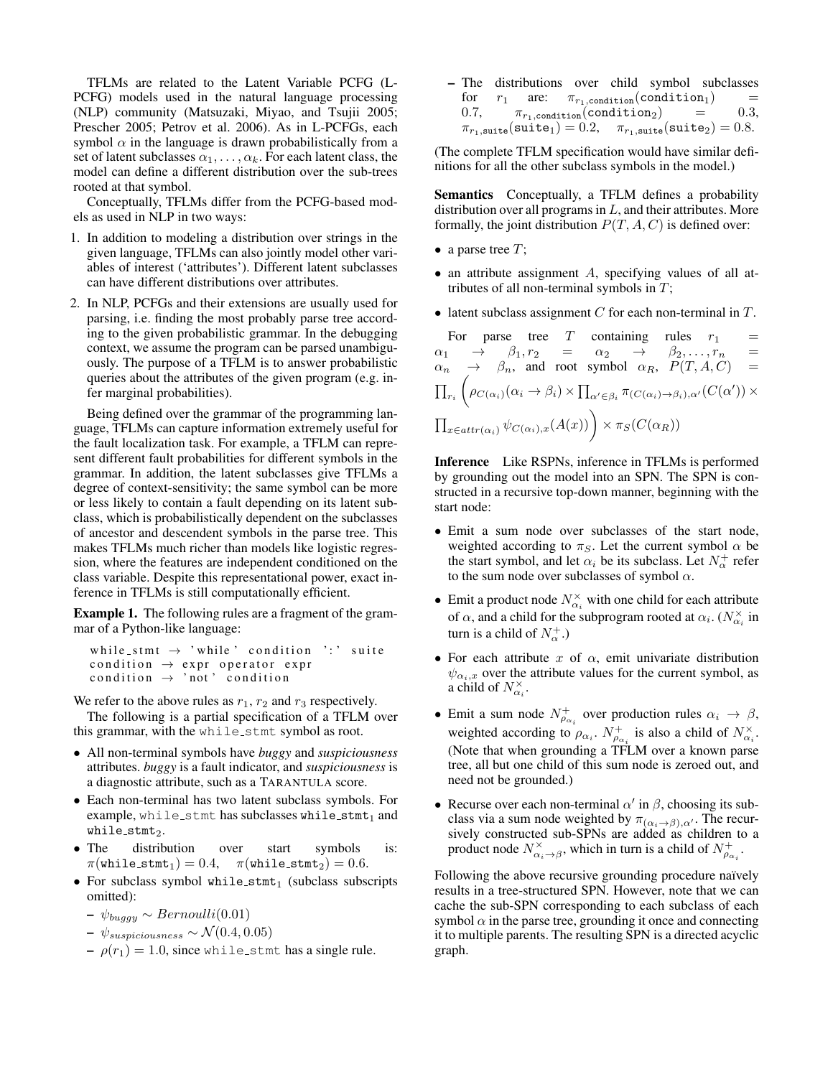TFLMs are related to the Latent Variable PCFG (L-PCFG) models used in the natural language processing (NLP) community (Matsuzaki, Miyao, and Tsujii 2005; Prescher 2005; Petrov et al. 2006). As in L-PCFGs, each symbol  $\alpha$  in the language is drawn probabilistically from a set of latent subclasses  $\alpha_1, \ldots, \alpha_k$ . For each latent class, the model can define a different distribution over the sub-trees rooted at that symbol.

Conceptually, TFLMs differ from the PCFG-based models as used in NLP in two ways:

- 1. In addition to modeling a distribution over strings in the given language, TFLMs can also jointly model other variables of interest ('attributes'). Different latent subclasses can have different distributions over attributes.
- 2. In NLP, PCFGs and their extensions are usually used for parsing, i.e. finding the most probably parse tree according to the given probabilistic grammar. In the debugging context, we assume the program can be parsed unambiguously. The purpose of a TFLM is to answer probabilistic queries about the attributes of the given program (e.g. infer marginal probabilities).

Being defined over the grammar of the programming language, TFLMs can capture information extremely useful for the fault localization task. For example, a TFLM can represent different fault probabilities for different symbols in the grammar. In addition, the latent subclasses give TFLMs a degree of context-sensitivity; the same symbol can be more or less likely to contain a fault depending on its latent subclass, which is probabilistically dependent on the subclasses of ancestor and descendent symbols in the parse tree. This makes TFLMs much richer than models like logistic regression, where the features are independent conditioned on the class variable. Despite this representational power, exact inference in TFLMs is still computationally efficient.

Example 1. The following rules are a fragment of the grammar of a Python-like language:

```
while_stmt \rightarrow 'while' condition ':' suite
condition \rightarrow expr operator expr
condition \rightarrow 'not' condition
```
We refer to the above rules as  $r_1$ ,  $r_2$  and  $r_3$  respectively. The following is a partial specification of a TFLM over this grammar, with the while stmt symbol as root.

- All non-terminal symbols have *buggy* and *suspiciousness* attributes. *buggy* is a fault indicator, and *suspiciousness* is a diagnostic attribute, such as a TARANTULA score.
- Each non-terminal has two latent subclass symbols. For example, while  $s$ tmt has subclasses while  $s$ tmt<sub>1</sub> and while\_ $\texttt{stmt}_2$ .
- The distribution over start symbols is:  $\pi(\texttt{while\_stmt}_1) = 0.4, \quad \pi(\texttt{while\_stmt}_2) = 0.6.$
- For subclass symbol while\_ $stmt_1$  (subclass subscripts omitted):
	- $\psi_{buagy}$  ∼ Bernoulli(0.01)
	- $\psi_{suspiciousness} \sim \mathcal{N}(0.4, 0.05)$
	- $-\rho(r_1) = 1.0$ , since while stmt has a single rule.

– The distributions over child symbol subclasses for  $r_1$  are:  $\pi_{r_1,\text{condition}}(\text{condition}_1)$  = 0.7,  $\pi_{r_1,\text{condition}}(\text{condition}_2) = 0.3$ ,  $\pi_{r_1,\text{suit}}(\text{suit}) = 0.2, \quad \pi_{r_1,\text{suit}}(\text{suit}_2) = 0.8.$ 

(The complete TFLM specification would have similar definitions for all the other subclass symbols in the model.)

Semantics Conceptually, a TFLM defines a probability distribution over all programs in  $L$ , and their attributes. More formally, the joint distribution  $P(T, A, C)$  is defined over:

- a parse tree  $T$ ;
- an attribute assignment A, specifying values of all attributes of all non-terminal symbols in  $T$ ;
- latent subclass assignment  $C$  for each non-terminal in  $T$ .

For parse tree T containing rules  $r_1$  =  $\alpha_1 \rightarrow \beta_1, r_2 \rightarrow \alpha_2 \rightarrow \beta_2, \ldots, r_n$  $\alpha_n \rightarrow \beta_n$ , and root symbol  $\alpha_R$ ,  $P(T, A, C)$  =  $\prod_{r_i}$  $\left(\rho_{C(\alpha_i)}(\alpha_i \to \beta_i) \times \prod_{\alpha' \in \beta_i} \pi_{(C(\alpha_i) \to \beta_i),\alpha'}(C(\alpha')) \times \right)$  $\prod_{x \in attr(\alpha_i)} \psi_{C(\alpha_i),x}(A(x))$   $\times \pi_S(C(\alpha_R))$ 

Inference Like RSPNs, inference in TFLMs is performed by grounding out the model into an SPN. The SPN is constructed in a recursive top-down manner, beginning with the start node:

- Emit a sum node over subclasses of the start node, weighted according to  $\pi_S$ . Let the current symbol  $\alpha$  be the start symbol, and let  $\alpha_i$  be its subclass. Let  $N^+_{\alpha}$  refer to the sum node over subclasses of symbol  $\alpha$ .
- Emit a product node  $N_{\alpha_i}^{\times}$  with one child for each attribute of  $\alpha$ , and a child for the subprogram rooted at  $\alpha_i$ . ( $N_{\alpha_i}^{\times}$  in turn is a child of  $N_{\alpha}^{+}$ .)
- For each attribute  $x$  of  $\alpha$ , emit univariate distribution  $\psi_{\alpha_i,x}$  over the attribute values for the current symbol, as a child of  $N_{\alpha_i}^{\times}$ .
- Emit a sum node  $N_{\rho_{\alpha_i}}^+$  over production rules  $\alpha_i \to \beta$ , weighted according to  $\rho_{\alpha_i}$ .  $N_{\rho_{\alpha_i}}^+$  is also a child of  $N_{\alpha_i}^{\times}$ . (Note that when grounding a TFLM over a known parse tree, all but one child of this sum node is zeroed out, and need not be grounded.)
- Recurse over each non-terminal  $\alpha'$  in  $\beta$ , choosing its subclass via a sum node weighted by  $\pi_{(\alpha_i \rightarrow \beta), \alpha'}$ . The recursively constructed sub-SPNs are added as children to a product node  $N^{\times}_{\alpha_i \to \beta}$ , which in turn is a child of  $N^+_{\rho_{\alpha_i}}$ .

Following the above recursive grounding procedure naïvely results in a tree-structured SPN. However, note that we can cache the sub-SPN corresponding to each subclass of each symbol  $\alpha$  in the parse tree, grounding it once and connecting it to multiple parents. The resulting SPN is a directed acyclic graph.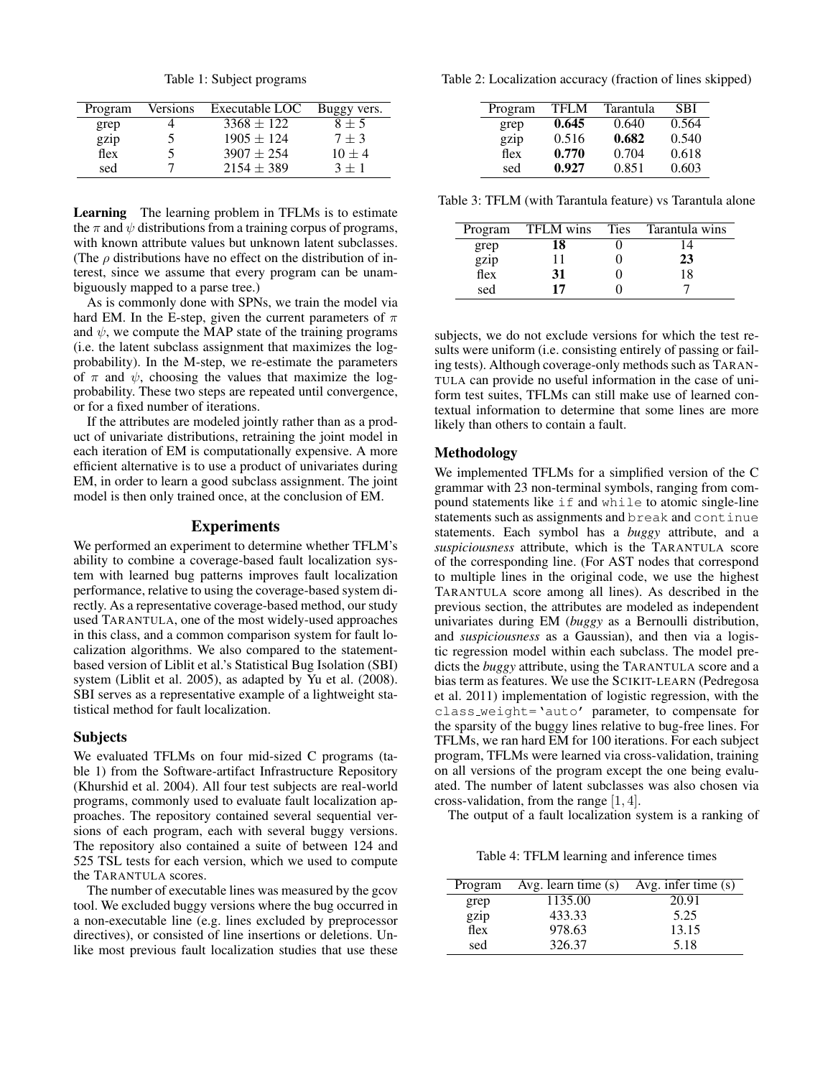Table 1: Subject programs

| Program | Versions | Executable LOC | Buggy vers. |
|---------|----------|----------------|-------------|
| grep    |          | $3368 \pm 122$ | $8 \pm 5$   |
| gzip    |          | $1905 \pm 124$ | $7 \pm 3$   |
| flex    |          | $3907 \pm 254$ | $10 \pm 4$  |
| sed     |          | $2154 \pm 389$ | $3 + 1$     |

Learning The learning problem in TFLMs is to estimate the  $\pi$  and  $\psi$  distributions from a training corpus of programs, with known attribute values but unknown latent subclasses. (The  $\rho$  distributions have no effect on the distribution of interest, since we assume that every program can be unambiguously mapped to a parse tree.)

As is commonly done with SPNs, we train the model via hard EM. In the E-step, given the current parameters of  $\pi$ and  $\psi$ , we compute the MAP state of the training programs (i.e. the latent subclass assignment that maximizes the logprobability). In the M-step, we re-estimate the parameters of  $\pi$  and  $\psi$ , choosing the values that maximize the logprobability. These two steps are repeated until convergence, or for a fixed number of iterations.

If the attributes are modeled jointly rather than as a product of univariate distributions, retraining the joint model in each iteration of EM is computationally expensive. A more efficient alternative is to use a product of univariates during EM, in order to learn a good subclass assignment. The joint model is then only trained once, at the conclusion of EM.

## Experiments

We performed an experiment to determine whether TFLM's ability to combine a coverage-based fault localization system with learned bug patterns improves fault localization performance, relative to using the coverage-based system directly. As a representative coverage-based method, our study used TARANTULA, one of the most widely-used approaches in this class, and a common comparison system for fault localization algorithms. We also compared to the statementbased version of Liblit et al.'s Statistical Bug Isolation (SBI) system (Liblit et al. 2005), as adapted by Yu et al. (2008). SBI serves as a representative example of a lightweight statistical method for fault localization.

### Subjects

We evaluated TFLMs on four mid-sized C programs (table 1) from the Software-artifact Infrastructure Repository (Khurshid et al. 2004). All four test subjects are real-world programs, commonly used to evaluate fault localization approaches. The repository contained several sequential versions of each program, each with several buggy versions. The repository also contained a suite of between 124 and 525 TSL tests for each version, which we used to compute the TARANTULA scores.

The number of executable lines was measured by the gcov tool. We excluded buggy versions where the bug occurred in a non-executable line (e.g. lines excluded by preprocessor directives), or consisted of line insertions or deletions. Unlike most previous fault localization studies that use these

Table 2: Localization accuracy (fraction of lines skipped)

| Program | TFLM  | Tarantula | <b>SBI</b> |
|---------|-------|-----------|------------|
| grep    | 0.645 | 0.640     | 0.564      |
| gzip    | 0.516 | 0.682     | 0.540      |
| flex    | 0.770 | 0.704     | 0.618      |
| sed     | 0.927 | 0.851     | 0.603      |

Table 3: TFLM (with Tarantula feature) vs Tarantula alone

| Program      | <b>TFLM</b> wins | <b>Ties</b> | Tarantula wins |
|--------------|------------------|-------------|----------------|
| grep         | 18               |             |                |
| gzip<br>flex |                  |             | 23             |
|              | 31               |             | 18             |
| sed          | 17               |             |                |

subjects, we do not exclude versions for which the test results were uniform (i.e. consisting entirely of passing or failing tests). Although coverage-only methods such as TARAN-TULA can provide no useful information in the case of uniform test suites, TFLMs can still make use of learned contextual information to determine that some lines are more likely than others to contain a fault.

### Methodology

We implemented TFLMs for a simplified version of the C grammar with 23 non-terminal symbols, ranging from compound statements like if and while to atomic single-line statements such as assignments and break and continue statements. Each symbol has a *buggy* attribute, and a *suspiciousness* attribute, which is the TARANTULA score of the corresponding line. (For AST nodes that correspond to multiple lines in the original code, we use the highest TARANTULA score among all lines). As described in the previous section, the attributes are modeled as independent univariates during EM (*buggy* as a Bernoulli distribution, and *suspiciousness* as a Gaussian), and then via a logistic regression model within each subclass. The model predicts the *buggy* attribute, using the TARANTULA score and a bias term as features. We use the SCIKIT-LEARN (Pedregosa et al. 2011) implementation of logistic regression, with the class weight='auto' parameter, to compensate for the sparsity of the buggy lines relative to bug-free lines. For TFLMs, we ran hard EM for 100 iterations. For each subject program, TFLMs were learned via cross-validation, training on all versions of the program except the one being evaluated. The number of latent subclasses was also chosen via cross-validation, from the range [1, 4].

The output of a fault localization system is a ranking of

Table 4: TFLM learning and inference times

| Program | Avg. learn time $(s)$ | Avg. infer time $(s)$ |
|---------|-----------------------|-----------------------|
| grep    | 1135.00               | 20.91                 |
| gzip    | 433.33                | 5.25                  |
| flex    | 978.63                | 13.15                 |
| sed     | 326.37                | 5.18                  |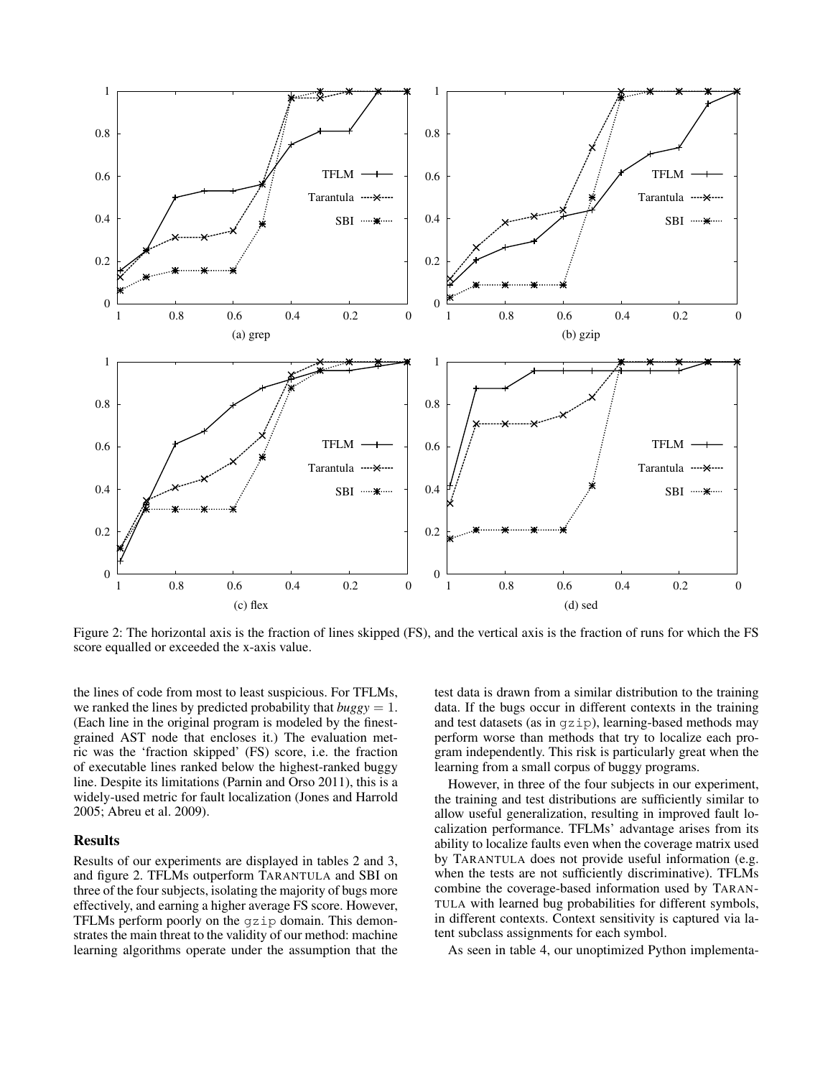

Figure 2: The horizontal axis is the fraction of lines skipped (FS), and the vertical axis is the fraction of runs for which the FS score equalled or exceeded the x-axis value.

the lines of code from most to least suspicious. For TFLMs, we ranked the lines by predicted probability that  $buggy = 1$ . (Each line in the original program is modeled by the finestgrained AST node that encloses it.) The evaluation metric was the 'fraction skipped' (FS) score, i.e. the fraction of executable lines ranked below the highest-ranked buggy line. Despite its limitations (Parnin and Orso 2011), this is a widely-used metric for fault localization (Jones and Harrold 2005; Abreu et al. 2009).

# **Results**

Results of our experiments are displayed in tables 2 and 3, and figure 2. TFLMs outperform TARANTULA and SBI on three of the four subjects, isolating the majority of bugs more effectively, and earning a higher average FS score. However, TFLMs perform poorly on the gzip domain. This demonstrates the main threat to the validity of our method: machine learning algorithms operate under the assumption that the

test data is drawn from a similar distribution to the training data. If the bugs occur in different contexts in the training and test datasets (as in gzip), learning-based methods may perform worse than methods that try to localize each program independently. This risk is particularly great when the learning from a small corpus of buggy programs.

However, in three of the four subjects in our experiment, the training and test distributions are sufficiently similar to allow useful generalization, resulting in improved fault localization performance. TFLMs' advantage arises from its ability to localize faults even when the coverage matrix used by TARANTULA does not provide useful information (e.g. when the tests are not sufficiently discriminative). TFLMs combine the coverage-based information used by TARAN-TULA with learned bug probabilities for different symbols, in different contexts. Context sensitivity is captured via latent subclass assignments for each symbol.

As seen in table 4, our unoptimized Python implementa-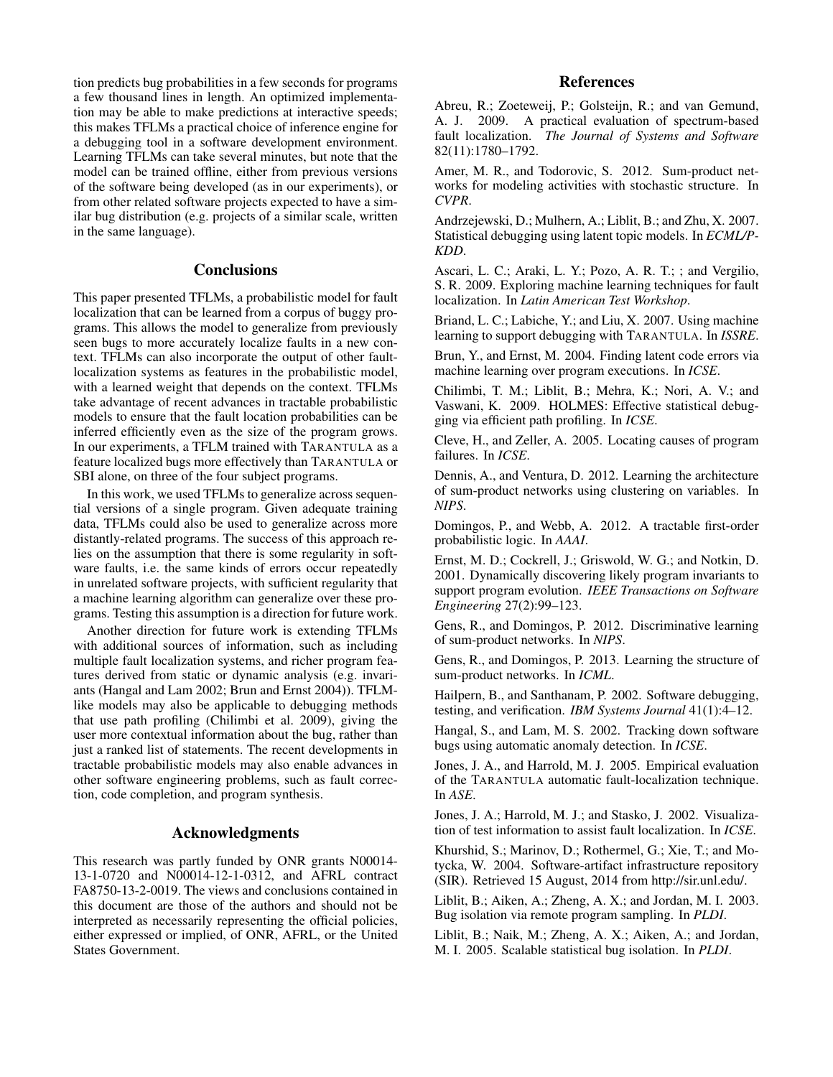tion predicts bug probabilities in a few seconds for programs a few thousand lines in length. An optimized implementation may be able to make predictions at interactive speeds; this makes TFLMs a practical choice of inference engine for a debugging tool in a software development environment. Learning TFLMs can take several minutes, but note that the model can be trained offline, either from previous versions of the software being developed (as in our experiments), or from other related software projects expected to have a similar bug distribution (e.g. projects of a similar scale, written in the same language).

# **Conclusions**

This paper presented TFLMs, a probabilistic model for fault localization that can be learned from a corpus of buggy programs. This allows the model to generalize from previously seen bugs to more accurately localize faults in a new context. TFLMs can also incorporate the output of other faultlocalization systems as features in the probabilistic model, with a learned weight that depends on the context. TFLMs take advantage of recent advances in tractable probabilistic models to ensure that the fault location probabilities can be inferred efficiently even as the size of the program grows. In our experiments, a TFLM trained with TARANTULA as a feature localized bugs more effectively than TARANTULA or SBI alone, on three of the four subject programs.

In this work, we used TFLMs to generalize across sequential versions of a single program. Given adequate training data, TFLMs could also be used to generalize across more distantly-related programs. The success of this approach relies on the assumption that there is some regularity in software faults, i.e. the same kinds of errors occur repeatedly in unrelated software projects, with sufficient regularity that a machine learning algorithm can generalize over these programs. Testing this assumption is a direction for future work.

Another direction for future work is extending TFLMs with additional sources of information, such as including multiple fault localization systems, and richer program features derived from static or dynamic analysis (e.g. invariants (Hangal and Lam 2002; Brun and Ernst 2004)). TFLMlike models may also be applicable to debugging methods that use path profiling (Chilimbi et al. 2009), giving the user more contextual information about the bug, rather than just a ranked list of statements. The recent developments in tractable probabilistic models may also enable advances in other software engineering problems, such as fault correction, code completion, and program synthesis.

## Acknowledgments

This research was partly funded by ONR grants N00014- 13-1-0720 and N00014-12-1-0312, and AFRL contract FA8750-13-2-0019. The views and conclusions contained in this document are those of the authors and should not be interpreted as necessarily representing the official policies, either expressed or implied, of ONR, AFRL, or the United States Government.

# References

Abreu, R.; Zoeteweij, P.; Golsteijn, R.; and van Gemund, A. J. 2009. A practical evaluation of spectrum-based fault localization. *The Journal of Systems and Software* 82(11):1780–1792.

Amer, M. R., and Todorovic, S. 2012. Sum-product networks for modeling activities with stochastic structure. In *CVPR*.

Andrzejewski, D.; Mulhern, A.; Liblit, B.; and Zhu, X. 2007. Statistical debugging using latent topic models. In *ECML/P-KDD*.

Ascari, L. C.; Araki, L. Y.; Pozo, A. R. T.; ; and Vergilio, S. R. 2009. Exploring machine learning techniques for fault localization. In *Latin American Test Workshop*.

Briand, L. C.; Labiche, Y.; and Liu, X. 2007. Using machine learning to support debugging with TARANTULA. In *ISSRE*.

Brun, Y., and Ernst, M. 2004. Finding latent code errors via machine learning over program executions. In *ICSE*.

Chilimbi, T. M.; Liblit, B.; Mehra, K.; Nori, A. V.; and Vaswani, K. 2009. HOLMES: Effective statistical debugging via efficient path profiling. In *ICSE*.

Cleve, H., and Zeller, A. 2005. Locating causes of program failures. In *ICSE*.

Dennis, A., and Ventura, D. 2012. Learning the architecture of sum-product networks using clustering on variables. In *NIPS*.

Domingos, P., and Webb, A. 2012. A tractable first-order probabilistic logic. In *AAAI*.

Ernst, M. D.; Cockrell, J.; Griswold, W. G.; and Notkin, D. 2001. Dynamically discovering likely program invariants to support program evolution. *IEEE Transactions on Software Engineering* 27(2):99–123.

Gens, R., and Domingos, P. 2012. Discriminative learning of sum-product networks. In *NIPS*.

Gens, R., and Domingos, P. 2013. Learning the structure of sum-product networks. In *ICML*.

Hailpern, B., and Santhanam, P. 2002. Software debugging, testing, and verification. *IBM Systems Journal* 41(1):4–12.

Hangal, S., and Lam, M. S. 2002. Tracking down software bugs using automatic anomaly detection. In *ICSE*.

Jones, J. A., and Harrold, M. J. 2005. Empirical evaluation of the TARANTULA automatic fault-localization technique. In *ASE*.

Jones, J. A.; Harrold, M. J.; and Stasko, J. 2002. Visualization of test information to assist fault localization. In *ICSE*.

Khurshid, S.; Marinov, D.; Rothermel, G.; Xie, T.; and Motycka, W. 2004. Software-artifact infrastructure repository (SIR). Retrieved 15 August, 2014 from http://sir.unl.edu/.

Liblit, B.; Aiken, A.; Zheng, A. X.; and Jordan, M. I. 2003. Bug isolation via remote program sampling. In *PLDI*.

Liblit, B.; Naik, M.; Zheng, A. X.; Aiken, A.; and Jordan, M. I. 2005. Scalable statistical bug isolation. In *PLDI*.